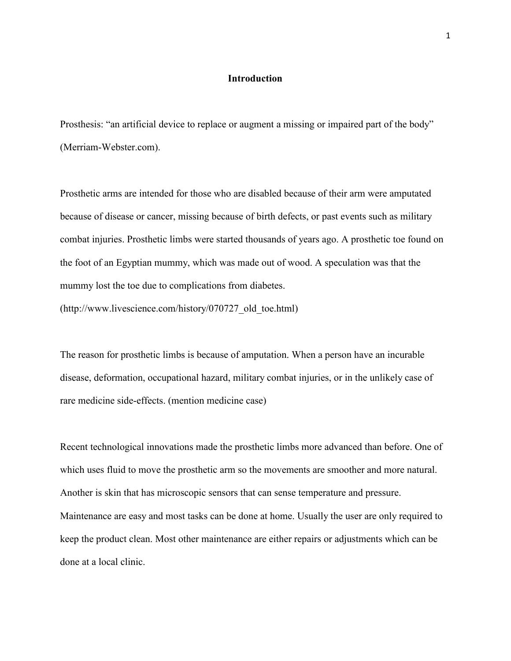# Introduction

Prosthesis: "an artificial device to replace or augment a missing or impaired part of the body" (Merriam-Webster.com).

Prosthetic arms are intended for those who are disabled because of their arm were amputated because of disease or cancer, missing because of birth defects, or past events such as military combat injuries. Prosthetic limbs were started thousands of years ago. A prosthetic toe found on the foot of an Egyptian mummy, which was made out of wood. A speculation was that the mummy lost the toe due to complications from diabetes.

(http://www.livescience.com/history/070727\_old\_toe.html)

The reason for prosthetic limbs is because of amputation. When a person have an incurable disease, deformation, occupational hazard, military combat injuries, or in the unlikely case of rare medicine side-effects. (mention medicine case)

Recent technological innovations made the prosthetic limbs more advanced than before. One of which uses fluid to move the prosthetic arm so the movements are smoother and more natural. Another is skin that has microscopic sensors that can sense temperature and pressure. Maintenance are easy and most tasks can be done at home. Usually the user are only required to keep the product clean. Most other maintenance are either repairs or adjustments which can be done at a local clinic.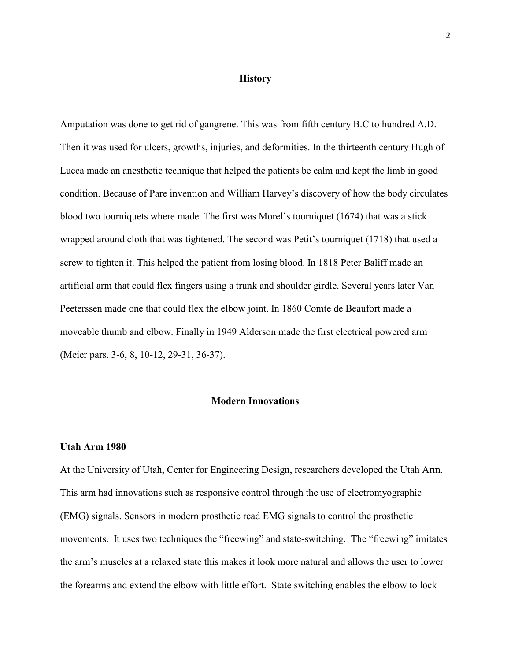#### **History**

Amputation was done to get rid of gangrene. This was from fifth century B.C to hundred A.D. Then it was used for ulcers, growths, injuries, and deformities. In the thirteenth century Hugh of Lucca made an anesthetic technique that helped the patients be calm and kept the limb in good condition. Because of Pare invention and William Harvey's discovery of how the body circulates blood two tourniquets where made. The first was Morel's tourniquet (1674) that was a stick wrapped around cloth that was tightened. The second was Petit's tourniquet (1718) that used a screw to tighten it. This helped the patient from losing blood. In 1818 Peter Baliff made an artificial arm that could flex fingers using a trunk and shoulder girdle. Several years later Van Peeterssen made one that could flex the elbow joint. In 1860 Comte de Beaufort made a moveable thumb and elbow. Finally in 1949 Alderson made the first electrical powered arm (Meier pars. 3-6, 8, 10-12, 29-31, 36-37).

# Modern Innovations

## Utah Arm 1980

At the University of Utah, Center for Engineering Design, researchers developed the Utah Arm. This arm had innovations such as responsive control through the use of electromyographic (EMG) signals. Sensors in modern prosthetic read EMG signals to control the prosthetic movements. It uses two techniques the "freewing" and state-switching. The "freewing" imitates the arm's muscles at a relaxed state this makes it look more natural and allows the user to lower the forearms and extend the elbow with little effort. State switching enables the elbow to lock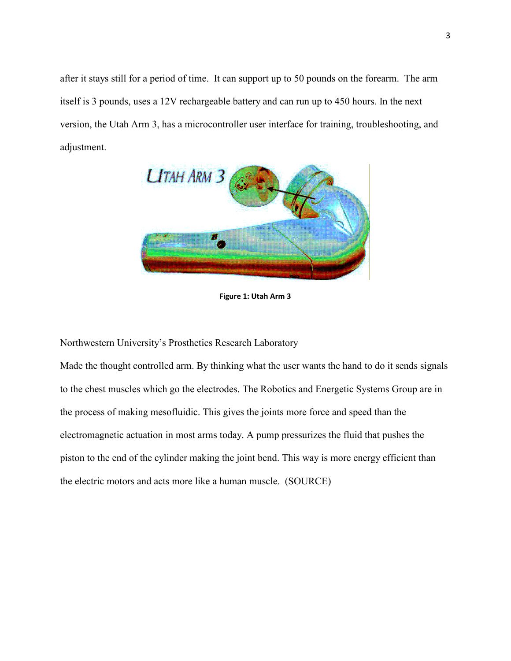after it stays still for a period of time. It can support up to 50 pounds on the forearm. The arm itself is 3 pounds, uses a 12V rechargeable battery and can run up to 450 hours. In the next version, the Utah Arm 3, has a microcontroller user interface for training, troubleshooting, and adjustment.



Figure 1: Utah Arm 3

Northwestern University's Prosthetics Research Laboratory

Made the thought controlled arm. By thinking what the user wants the hand to do it sends signals to the chest muscles which go the electrodes. The Robotics and Energetic Systems Group are in the process of making mesofluidic. This gives the joints more force and speed than the electromagnetic actuation in most arms today. A pump pressurizes the fluid that pushes the piston to the end of the cylinder making the joint bend. This way is more energy efficient than the electric motors and acts more like a human muscle. (SOURCE)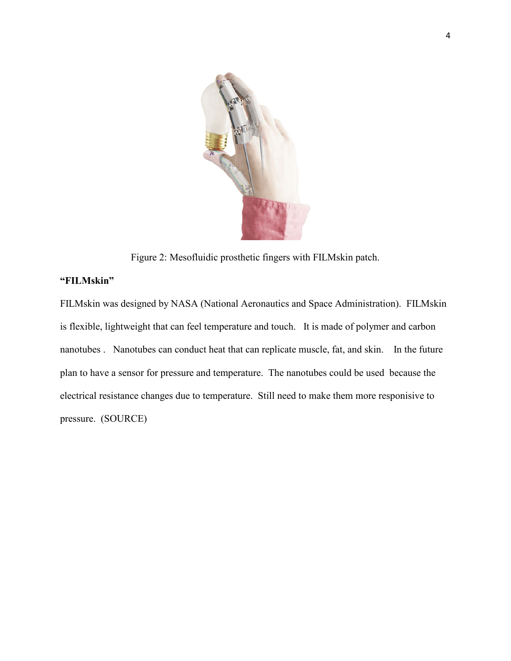

Figure 2: Mesofluidic prosthetic fingers with FILMskin patch.

# "FILMskin"

FILMskin was designed by NASA (National Aeronautics and Space Administration). FILMskin is flexible, lightweight that can feel temperature and touch. It is made of polymer and carbon nanotubes . Nanotubes can conduct heat that can replicate muscle, fat, and skin. In the future plan to have a sensor for pressure and temperature. The nanotubes could be used because the electrical resistance changes due to temperature. Still need to make them more responisive to pressure. (SOURCE)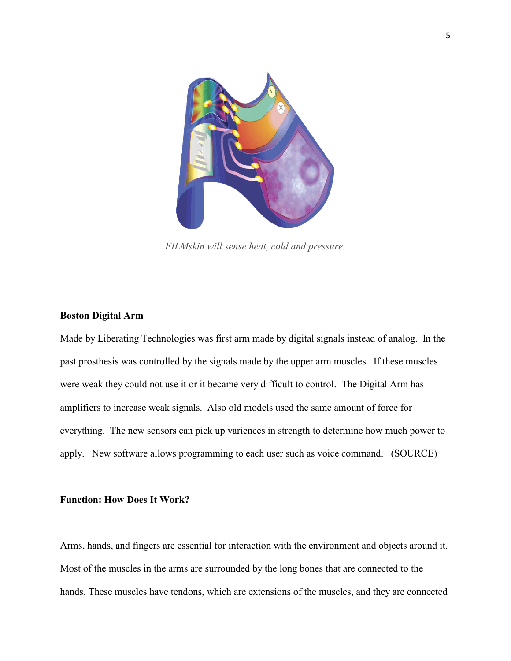

FILMskin will sense heat, cold and pressure.

#### Boston Digital Arm

Made by Liberating Technologies was first arm made by digital signals instead of analog. In the past prosthesis was controlled by the signals made by the upper arm muscles. If these muscles were weak they could not use it or it became very difficult to control. The Digital Arm has amplifiers to increase weak signals. Also old models used the same amount of force for everything. The new sensors can pick up variences in strength to determine how much power to apply. New software allows programming to each user such as voice command. (SOURCE)

### Function: How Does It Work?

Arms, hands, and fingers are essential for interaction with the environment and objects around it. Most of the muscles in the arms are surrounded by the long bones that are connected to the hands. These muscles have tendons, which are extensions of the muscles, and they are connected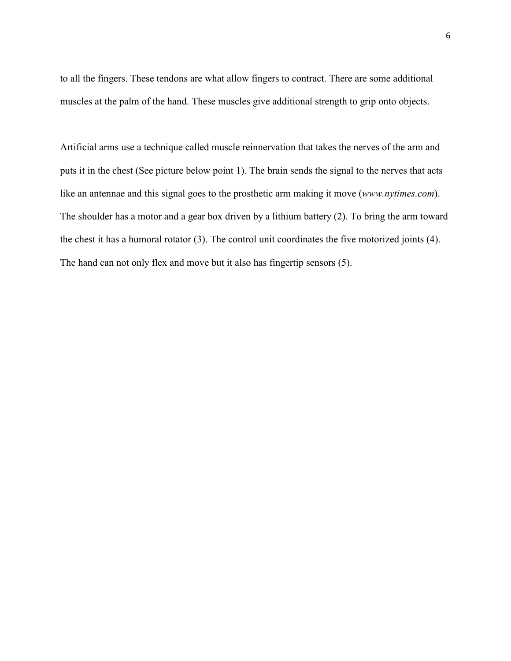to all the fingers. These tendons are what allow fingers to contract. There are some additional muscles at the palm of the hand. These muscles give additional strength to grip onto objects.

Artificial arms use a technique called muscle reinnervation that takes the nerves of the arm and puts it in the chest (See picture below point 1). The brain sends the signal to the nerves that acts like an antennae and this signal goes to the prosthetic arm making it move (www.nytimes.com). The shoulder has a motor and a gear box driven by a lithium battery (2). To bring the arm toward the chest it has a humoral rotator (3). The control unit coordinates the five motorized joints (4). The hand can not only flex and move but it also has fingertip sensors (5).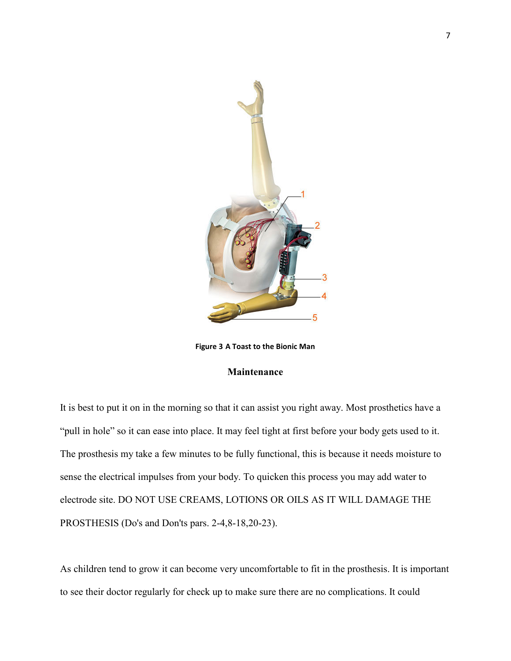

Figure 3 A Toast to the Bionic Man

# Maintenance

It is best to put it on in the morning so that it can assist you right away. Most prosthetics have a "pull in hole" so it can ease into place. It may feel tight at first before your body gets used to it. The prosthesis my take a few minutes to be fully functional, this is because it needs moisture to sense the electrical impulses from your body. To quicken this process you may add water to electrode site. DO NOT USE CREAMS, LOTIONS OR OILS AS IT WILL DAMAGE THE PROSTHESIS (Do's and Don'ts pars. 2-4,8-18,20-23).

As children tend to grow it can become very uncomfortable to fit in the prosthesis. It is important to see their doctor regularly for check up to make sure there are no complications. It could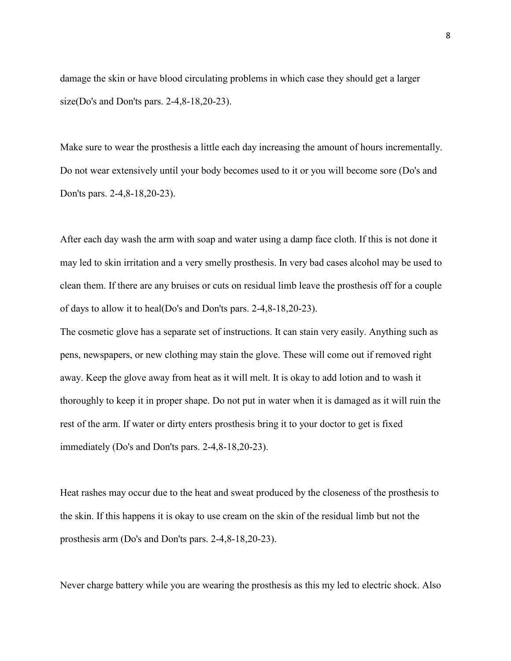damage the skin or have blood circulating problems in which case they should get a larger size(Do's and Don'ts pars. 2-4,8-18,20-23).

Make sure to wear the prosthesis a little each day increasing the amount of hours incrementally. Do not wear extensively until your body becomes used to it or you will become sore (Do's and Don'ts pars. 2-4,8-18,20-23).

After each day wash the arm with soap and water using a damp face cloth. If this is not done it may led to skin irritation and a very smelly prosthesis. In very bad cases alcohol may be used to clean them. If there are any bruises or cuts on residual limb leave the prosthesis off for a couple of days to allow it to heal(Do's and Don'ts pars. 2-4,8-18,20-23).

The cosmetic glove has a separate set of instructions. It can stain very easily. Anything such as pens, newspapers, or new clothing may stain the glove. These will come out if removed right away. Keep the glove away from heat as it will melt. It is okay to add lotion and to wash it thoroughly to keep it in proper shape. Do not put in water when it is damaged as it will ruin the rest of the arm. If water or dirty enters prosthesis bring it to your doctor to get is fixed immediately (Do's and Don'ts pars. 2-4,8-18,20-23).

Heat rashes may occur due to the heat and sweat produced by the closeness of the prosthesis to the skin. If this happens it is okay to use cream on the skin of the residual limb but not the prosthesis arm (Do's and Don'ts pars. 2-4,8-18,20-23).

Never charge battery while you are wearing the prosthesis as this my led to electric shock. Also